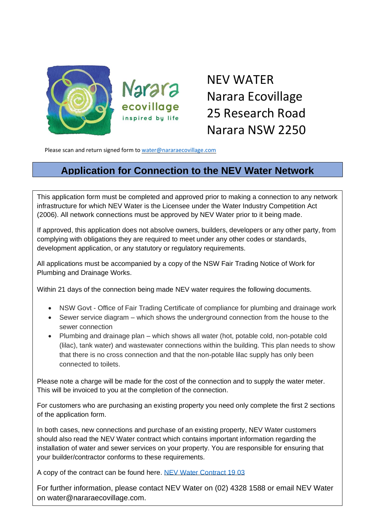

NEV WATER Narara Ecovillage 25 Research Road Narara NSW 2250

Please scan and return signed form to [water@nararaecovillage.com](mailto:water@nararaecovillage.com)

Narara

inspired by life

#### **Application for Connection to the NEV Water Network**

This application form must be completed and approved prior to making a connection to any network infrastructure for which NEV Water is the Licensee under the Water Industry Competition Act (2006). All network connections must be approved by NEV Water prior to it being made.

If approved, this application does not absolve owners, builders, developers or any other party, from complying with obligations they are required to meet under any other codes or standards, development application, or any statutory or regulatory requirements.

All applications must be accompanied by a copy of the NSW Fair Trading Notice of Work for Plumbing and Drainage Works.

Within 21 days of the connection being made NEV water requires the following documents.

- NSW Govt Office of Fair Trading Certificate of compliance for plumbing and drainage work
- Sewer service diagram which shows the underground connection from the house to the sewer connection
- Plumbing and drainage plan which shows all water (hot, potable cold, non-potable cold (lilac), tank water) and wastewater connections within the building. This plan needs to show that there is no cross connection and that the non-potable lilac supply has only been connected to toilets.

Please note a charge will be made for the cost of the connection and to supply the water meter. This will be invoiced to you at the completion of the connection.

For customers who are purchasing an existing property you need only complete the first 2 sections of the application form.

In both cases, new connections and purchase of an existing property, NEV Water customers should also read the NEV Water contract which contains important information regarding the installation of water and sewer services on your property. You are responsible for ensuring that your builder/contractor conforms to these requirements.

A copy of the contract can be found here. NEV Water [Contract](https://nararaecovillage.com/wp-content/uploads/2019/03/NW-NEV-Water-Customer-Contract-19-03.pdf) 19 03

For further information, please contact NEV Water on (02) 4328 1588 or email NEV Water on water@nararaecovillage.com.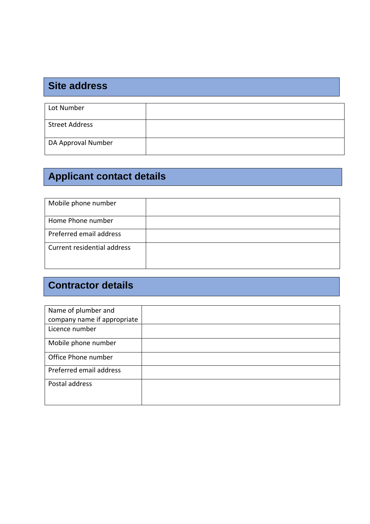## **Site address**

| Lot Number            |  |
|-----------------------|--|
| <b>Street Address</b> |  |
| DA Approval Number    |  |

# **Applicant contact details**

| Mobile phone number         |  |
|-----------------------------|--|
| Home Phone number           |  |
| Preferred email address     |  |
| Current residential address |  |

## **Contractor details**

| Name of plumber and         |  |
|-----------------------------|--|
| company name if appropriate |  |
| Licence number              |  |
| Mobile phone number         |  |
| Office Phone number         |  |
| Preferred email address     |  |
| Postal address              |  |